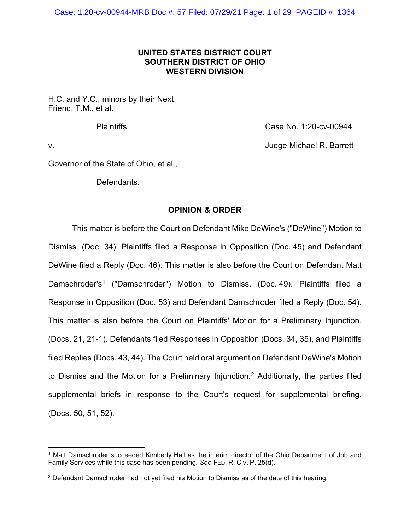# **UNITED STATES DISTRICT COURT SOUTHERN DISTRICT OF OHIO WESTERN DIVISION**

H.C. and Y.C., minors by their Next Friend, T.M., et al.

Plaintiffs, Case No. 1:20-cv-00944

v. Judge Michael R. Barrett

Governor of the State of Ohio, et al.,

Defendants.

## **OPINION & ORDER**

This matter is before the Court on Defendant Mike DeWine's ("DeWine") Motion to Dismiss. (Doc. 34). Plaintiffs filed a Response in Opposition (Doc. 45) and Defendant DeWine filed a Reply (Doc. 46). This matter is also before the Court on Defendant Matt Damschroder's<sup>1</sup> ("Damschroder") Motion to Dismiss. (Doc. 49). Plaintiffs filed a Response in Opposition (Doc. 53) and Defendant Damschroder filed a Reply (Doc. 54). This matter is also before the Court on Plaintiffs' Motion for a Preliminary Injunction. (Docs. 21, 21-1). Defendants filed Responses in Opposition (Docs. 34, 35), and Plaintiffs filed Replies (Docs. 43, 44). The Court held oral argument on Defendant DeWine's Motion to Dismiss and the Motion for a Preliminary Injunction.<sup>2</sup> Additionally, the parties filed supplemental briefs in response to the Court's request for supplemental briefing. (Docs. 50, 51, 52).

<sup>1</sup> Matt Damschroder succeeded Kimberly Hall as the interim director of the Ohio Department of Job and Family Services while this case has been pending. *See* FED. R. CIV. P. 25(d).

<sup>&</sup>lt;sup>2</sup> Defendant Damschroder had not yet filed his Motion to Dismiss as of the date of this hearing.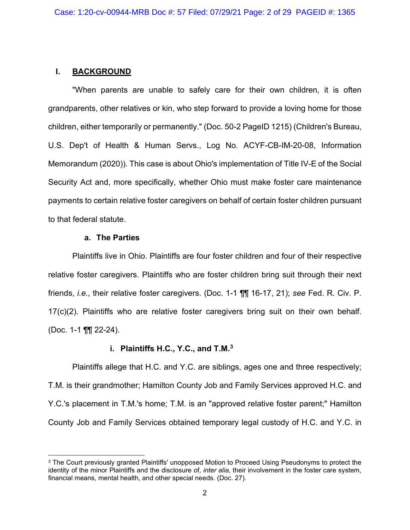## **I. BACKGROUND**

"When parents are unable to safely care for their own children, it is often grandparents, other relatives or kin, who step forward to provide a loving home for those children, either temporarily or permanently." (Doc. 50-2 PageID 1215) (Children's Bureau, U.S. Dep't of Health & Human Servs., Log No. ACYF-CB-IM-20-08, Information Memorandum (2020)). This case is about Ohio's implementation of Title IV-E of the Social Security Act and, more specifically, whether Ohio must make foster care maintenance payments to certain relative foster caregivers on behalf of certain foster children pursuant to that federal statute.

### **a. The Parties**

Plaintiffs live in Ohio. Plaintiffs are four foster children and four of their respective relative foster caregivers. Plaintiffs who are foster children bring suit through their next friends, *i.e.*, their relative foster caregivers. (Doc. 1-1 ¶¶ 16-17, 21); *see* Fed. R. Civ. P. 17(c)(2). Plaintiffs who are relative foster caregivers bring suit on their own behalf. (Doc. 1-1 ¶¶ 22-24).

## **i. Plaintiffs H.C., Y.C., and T.M.3**

Plaintiffs allege that H.C. and Y.C. are siblings, ages one and three respectively; T.M. is their grandmother; Hamilton County Job and Family Services approved H.C. and Y.C.'s placement in T.M.'s home; T.M. is an "approved relative foster parent;" Hamilton County Job and Family Services obtained temporary legal custody of H.C. and Y.C. in

<sup>3</sup> The Court previously granted Plaintiffs' unopposed Motion to Proceed Using Pseudonyms to protect the identity of the minor Plaintiffs and the disclosure of, *inter alia*, their involvement in the foster care system, financial means, mental health, and other special needs. (Doc. 27).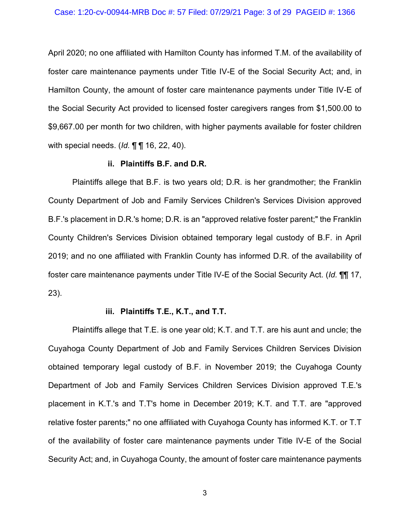#### Case: 1:20-cv-00944-MRB Doc #: 57 Filed: 07/29/21 Page: 3 of 29 PAGEID #: 1366

April 2020; no one affiliated with Hamilton County has informed T.M. of the availability of foster care maintenance payments under Title IV-E of the Social Security Act; and, in Hamilton County, the amount of foster care maintenance payments under Title IV-E of the Social Security Act provided to licensed foster caregivers ranges from \$1,500.00 to \$9,667.00 per month for two children, with higher payments available for foster children with special needs. (*Id.* ¶ ¶ 16, 22, 40).

#### **ii. Plaintiffs B.F. and D.R.**

Plaintiffs allege that B.F. is two years old; D.R. is her grandmother; the Franklin County Department of Job and Family Services Children's Services Division approved B.F.'s placement in D.R.'s home; D.R. is an "approved relative foster parent;" the Franklin County Children's Services Division obtained temporary legal custody of B.F. in April 2019; and no one affiliated with Franklin County has informed D.R. of the availability of foster care maintenance payments under Title IV-E of the Social Security Act. (*Id.* ¶¶ 17, 23).

#### **iii. Plaintiffs T.E., K.T., and T.T.**

Plaintiffs allege that T.E. is one year old; K.T. and T.T. are his aunt and uncle; the Cuyahoga County Department of Job and Family Services Children Services Division obtained temporary legal custody of B.F. in November 2019; the Cuyahoga County Department of Job and Family Services Children Services Division approved T.E.'s placement in K.T.'s and T.T's home in December 2019; K.T. and T.T. are "approved relative foster parents;" no one affiliated with Cuyahoga County has informed K.T. or T.T of the availability of foster care maintenance payments under Title IV-E of the Social Security Act; and, in Cuyahoga County, the amount of foster care maintenance payments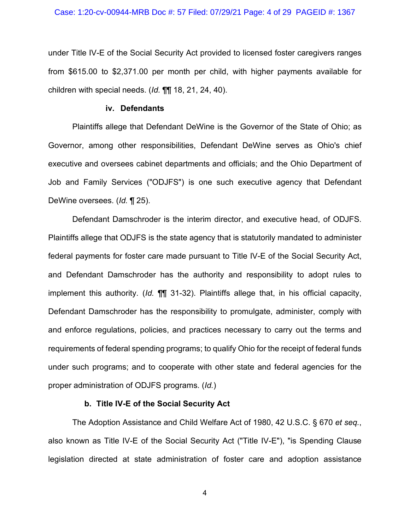under Title IV-E of the Social Security Act provided to licensed foster caregivers ranges from \$615.00 to \$2,371.00 per month per child, with higher payments available for children with special needs. (*Id.* ¶¶ 18, 21, 24, 40).

#### **iv. Defendants**

Plaintiffs allege that Defendant DeWine is the Governor of the State of Ohio; as Governor, among other responsibilities, Defendant DeWine serves as Ohio's chief executive and oversees cabinet departments and officials; and the Ohio Department of Job and Family Services ("ODJFS") is one such executive agency that Defendant DeWine oversees. (*Id.* ¶ 25).

Defendant Damschroder is the interim director, and executive head, of ODJFS. Plaintiffs allege that ODJFS is the state agency that is statutorily mandated to administer federal payments for foster care made pursuant to Title IV-E of the Social Security Act, and Defendant Damschroder has the authority and responsibility to adopt rules to implement this authority. (*Id.* ¶¶ 31-32). Plaintiffs allege that, in his official capacity, Defendant Damschroder has the responsibility to promulgate, administer, comply with and enforce regulations, policies, and practices necessary to carry out the terms and requirements of federal spending programs; to qualify Ohio for the receipt of federal funds under such programs; and to cooperate with other state and federal agencies for the proper administration of ODJFS programs. (*Id.*)

## **b. Title IV-E of the Social Security Act**

The Adoption Assistance and Child Welfare Act of 1980, 42 U.S.C. § 670 *et seq.*, also known as Title IV-E of the Social Security Act ("Title IV-E"), "is Spending Clause legislation directed at state administration of foster care and adoption assistance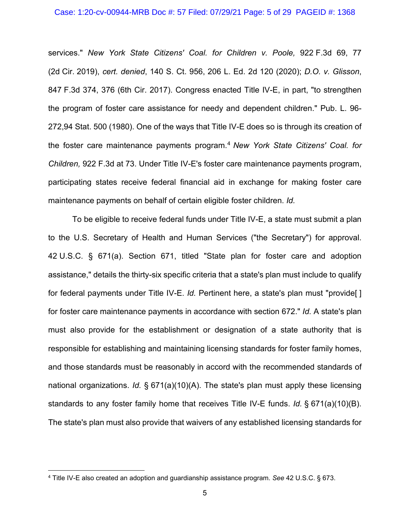#### Case: 1:20-cv-00944-MRB Doc #: 57 Filed: 07/29/21 Page: 5 of 29 PAGEID #: 1368

services." *New York State Citizens' Coal. for Children v. Poole,* 922 F.3d 69, 77 (2d Cir. 2019), *cert. denied*, 140 S. Ct. 956, 206 L. Ed. 2d 120 (2020); *D.O. v. Glisson*, 847 F.3d 374, 376 (6th Cir. 2017). Congress enacted Title IV-E, in part, "to strengthen the program of foster care assistance for needy and dependent children." Pub. L. 96- 272,94 Stat. 500 (1980). One of the ways that Title IV-E does so is through its creation of the foster care maintenance payments program.4 *New York State Citizens' Coal. for Children,* 922 F.3d at 73. Under Title IV-E's foster care maintenance payments program, participating states receive federal financial aid in exchange for making foster care maintenance payments on behalf of certain eligible foster children. *Id.*

To be eligible to receive federal funds under Title IV-E, a state must submit a plan to the U.S. Secretary of Health and Human Services ("the Secretary") for approval. 42 U.S.C. § 671(a). Section 671, titled "State plan for foster care and adoption assistance," details the thirty-six specific criteria that a state's plan must include to qualify for federal payments under Title IV-E. *Id.* Pertinent here, a state's plan must "provide[ ] for foster care maintenance payments in accordance with section 672." *Id.* A state's plan must also provide for the establishment or designation of a state authority that is responsible for establishing and maintaining licensing standards for foster family homes, and those standards must be reasonably in accord with the recommended standards of national organizations. *Id.* § 671(a)(10)(A). The state's plan must apply these licensing standards to any foster family home that receives Title IV-E funds. *Id.* § 671(a)(10)(B). The state's plan must also provide that waivers of any established licensing standards for

<sup>4</sup> Title IV-E also created an adoption and guardianship assistance program. *See* 42 U.S.C. § 673.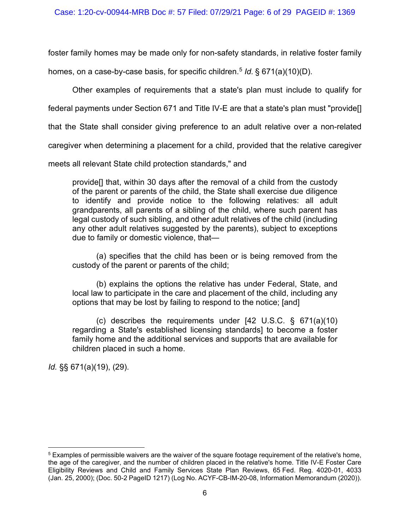foster family homes may be made only for non-safety standards, in relative foster family

homes, on a case-by-case basis, for specific children.<sup>5</sup> *Id.* § 671(a)(10)(D).

Other examples of requirements that a state's plan must include to qualify for

federal payments under Section 671 and Title IV-E are that a state's plan must "provide[]

that the State shall consider giving preference to an adult relative over a non-related

caregiver when determining a placement for a child, provided that the relative caregiver

meets all relevant State child protection standards," and

provide[] that, within 30 days after the removal of a child from the custody of the parent or parents of the child, the State shall exercise due diligence to identify and provide notice to the following relatives: all adult grandparents, all parents of a sibling of the child, where such parent has legal custody of such sibling, and other adult relatives of the child (including any other adult relatives suggested by the parents), subject to exceptions due to family or domestic violence, that—

(a) specifies that the child has been or is being removed from the custody of the parent or parents of the child;

(b) explains the options the relative has under Federal, State, and local law to participate in the care and placement of the child, including any options that may be lost by failing to respond to the notice; [and]

(c) describes the requirements under [42 U.S.C. § 671(a)(10) regarding a State's established licensing standards] to become a foster family home and the additional services and supports that are available for children placed in such a home.

*Id.* §§ 671(a)(19), (29).

 $5$  Examples of permissible waivers are the waiver of the square footage requirement of the relative's home, the age of the caregiver, and the number of children placed in the relative's home. Title IV-E Foster Care Eligibility Reviews and Child and Family Services State Plan Reviews, 65 Fed. Reg. 4020-01, 4033 (Jan. 25, 2000); (Doc. 50-2 PageID 1217) (Log No. ACYF-CB-IM-20-08, Information Memorandum (2020)).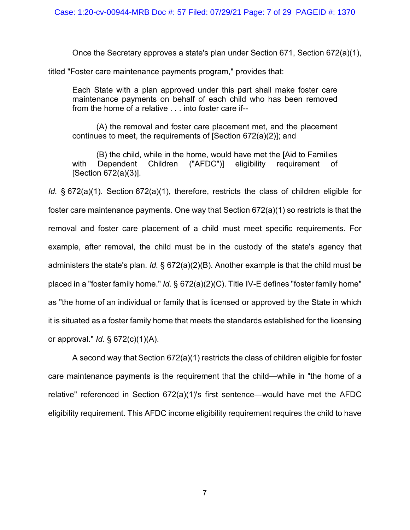Once the Secretary approves a state's plan under Section 671, Section 672(a)(1),

titled "Foster care maintenance payments program," provides that:

Each State with a plan approved under this part shall make foster care maintenance payments on behalf of each child who has been removed from the home of a relative . . . into foster care if--

(A) the removal and foster care placement met, and the placement continues to meet, the requirements of [Section 672(a)(2)]; and

(B) the child, while in the home, would have met the [Aid to Families with Dependent Children ("AFDC")] eligibility requirement of [Section 672(a)(3)].

*Id.* § 672(a)(1). Section 672(a)(1), therefore, restricts the class of children eligible for foster care maintenance payments. One way that Section 672(a)(1) so restricts is that the removal and foster care placement of a child must meet specific requirements. For example, after removal, the child must be in the custody of the state's agency that administers the state's plan. *Id.* § 672(a)(2)(B). Another example is that the child must be placed in a "foster family home." *Id.* § 672(a)(2)(C). Title IV-E defines "foster family home" as "the home of an individual or family that is licensed or approved by the State in which it is situated as a foster family home that meets the standards established for the licensing or approval." *Id.* § 672(c)(1)(A).

A second way that Section 672(a)(1) restricts the class of children eligible for foster care maintenance payments is the requirement that the child—while in "the home of a relative" referenced in Section 672(a)(1)'s first sentence—would have met the AFDC eligibility requirement. This AFDC income eligibility requirement requires the child to have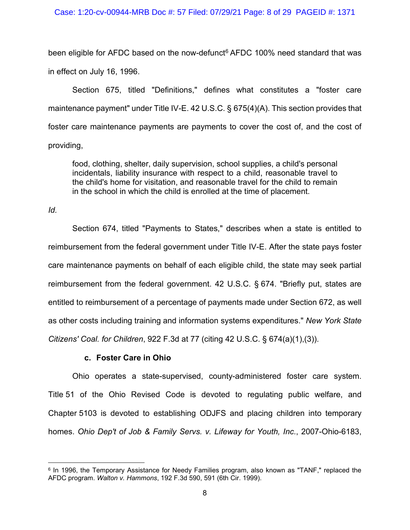been eligible for AFDC based on the now-defunct<sup>6</sup> AFDC 100% need standard that was in effect on July 16, 1996.

Section 675, titled "Definitions," defines what constitutes a "foster care maintenance payment" under Title IV-E. 42 U.S.C. § 675(4)(A). This section provides that foster care maintenance payments are payments to cover the cost of, and the cost of providing,

food, clothing, shelter, daily supervision, school supplies, a child's personal incidentals, liability insurance with respect to a child, reasonable travel to the child's home for visitation, and reasonable travel for the child to remain in the school in which the child is enrolled at the time of placement.

*Id.*

Section 674, titled "Payments to States," describes when a state is entitled to reimbursement from the federal government under Title IV-E. After the state pays foster care maintenance payments on behalf of each eligible child, the state may seek partial reimbursement from the federal government. 42 U.S.C. § 674. "Briefly put, states are entitled to reimbursement of a percentage of payments made under Section 672, as well as other costs including training and information systems expenditures." *New York State Citizens' Coal. for Children*, 922 F.3d at 77 (citing 42 U.S.C. § 674(a)(1),(3)).

## **c. Foster Care in Ohio**

Ohio operates a state-supervised, county-administered foster care system. Title 51 of the Ohio Revised Code is devoted to regulating public welfare, and Chapter 5103 is devoted to establishing ODJFS and placing children into temporary homes. *Ohio Dep't of Job & Family Servs. v. Lifeway for Youth, Inc*., 2007-Ohio-6183,

<sup>6</sup> In 1996, the Temporary Assistance for Needy Families program, also known as "TANF," replaced the AFDC program. *Walton v. Hammons*, 192 F.3d 590, 591 (6th Cir. 1999).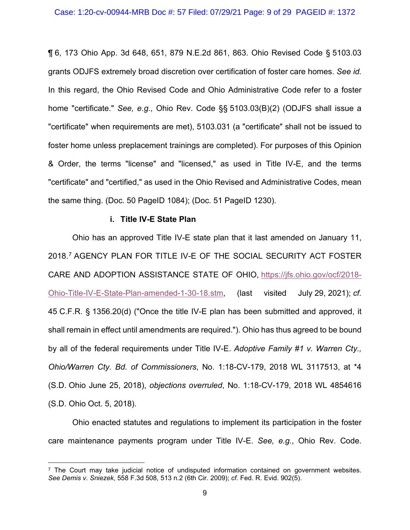¶ 6, 173 Ohio App. 3d 648, 651, 879 N.E.2d 861, 863. Ohio Revised Code § 5103.03 grants ODJFS extremely broad discretion over certification of foster care homes. *See id.* In this regard, the Ohio Revised Code and Ohio Administrative Code refer to a foster home "certificate." *See, e.g.*, Ohio Rev. Code §§ 5103.03(B)(2) (ODJFS shall issue a "certificate" when requirements are met), 5103.031 (a "certificate" shall not be issued to foster home unless preplacement trainings are completed). For purposes of this Opinion & Order, the terms "license" and "licensed," as used in Title IV-E, and the terms "certificate" and "certified," as used in the Ohio Revised and Administrative Codes, mean the same thing. (Doc. 50 PageID 1084); (Doc. 51 PageID 1230).

## **i. Title IV-E State Plan**

Ohio has an approved Title IV-E state plan that it last amended on January 11, 2018. <sup>7</sup> AGENCY PLAN FOR TITLE IV-E OF THE SOCIAL SECURITY ACT FOSTER CARE AND ADOPTION ASSISTANCE STATE OF OHIO, https://jfs.ohio.gov/ocf/2018- Ohio-Title-IV-E-State-Plan-amended-1-30-18.stm, (last visited July 29, 2021); *cf.* 45 C.F.R. § 1356.20(d) ("Once the title IV-E plan has been submitted and approved, it shall remain in effect until amendments are required."). Ohio has thus agreed to be bound by all of the federal requirements under Title IV-E. *Adoptive Family #1 v. Warren Cty., Ohio/Warren Cty. Bd. of Commissioners*, No. 1:18-CV-179, 2018 WL 3117513, at \*4 (S.D. Ohio June 25, 2018), *objections overruled*, No. 1:18-CV-179, 2018 WL 4854616 (S.D. Ohio Oct. 5, 2018).

Ohio enacted statutes and regulations to implement its participation in the foster care maintenance payments program under Title IV-E. *See, e.g.*, Ohio Rev. Code.

 $<sup>7</sup>$  The Court may take judicial notice of undisputed information contained on government websites.</sup> *See Demis v. Sniezek*, 558 F.3d 508, 513 n.2 (6th Cir. 2009); *cf.* Fed. R. Evid. 902(5).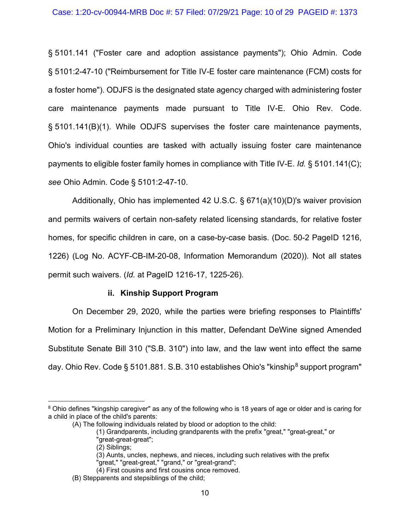§ 5101.141 ("Foster care and adoption assistance payments"); Ohio Admin. Code § 5101:2-47-10 ("Reimbursement for Title IV-E foster care maintenance (FCM) costs for a foster home"). ODJFS is the designated state agency charged with administering foster care maintenance payments made pursuant to Title IV-E. Ohio Rev. Code. § 5101.141(B)(1). While ODJFS supervises the foster care maintenance payments, Ohio's individual counties are tasked with actually issuing foster care maintenance payments to eligible foster family homes in compliance with Title IV-E. *Id.* § 5101.141(C); *see* Ohio Admin. Code § 5101:2-47-10.

Additionally, Ohio has implemented 42 U.S.C. § 671(a)(10)(D)'s waiver provision and permits waivers of certain non-safety related licensing standards, for relative foster homes, for specific children in care, on a case-by-case basis. (Doc. 50-2 PageID 1216, 1226) (Log No. ACYF-CB-IM-20-08, Information Memorandum (2020)). Not all states permit such waivers. (*Id.* at PageID 1216-17, 1225-26).

## **ii. Kinship Support Program**

On December 29, 2020, while the parties were briefing responses to Plaintiffs' Motion for a Preliminary Injunction in this matter, Defendant DeWine signed Amended Substitute Senate Bill 310 ("S.B. 310") into law, and the law went into effect the same day. Ohio Rev. Code § 5101.881. S.B. 310 establishes Ohio's "kinship<sup>8</sup> support program"

<sup>8</sup> Ohio defines "kingship caregiver" as any of the following who is 18 years of age or older and is caring for a child in place of the child's parents:

<sup>(</sup>A) The following individuals related by blood or adoption to the child:

<sup>(1)</sup> Grandparents, including grandparents with the prefix "great," "great-great," or "great-great-great";

<sup>(2)</sup> Siblings;

<sup>(3)</sup> Aunts, uncles, nephews, and nieces, including such relatives with the prefix

<sup>&</sup>quot;great," "great-great," "grand," or "great-grand";

<sup>(4)</sup> First cousins and first cousins once removed.

<sup>(</sup>B) Stepparents and stepsiblings of the child;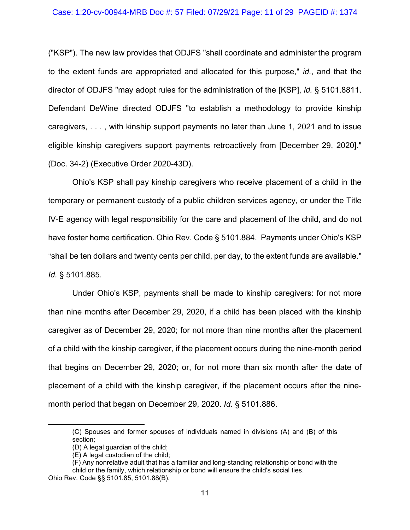## Case: 1:20-cv-00944-MRB Doc #: 57 Filed: 07/29/21 Page: 11 of 29 PAGEID #: 1374

("KSP"). The new law provides that ODJFS "shall coordinate and administer the program to the extent funds are appropriated and allocated for this purpose," *id.*, and that the director of ODJFS "may adopt rules for the administration of the [KSP], *id.* § 5101.8811. Defendant DeWine directed ODJFS "to establish a methodology to provide kinship caregivers, . . . , with kinship support payments no later than June 1, 2021 and to issue eligible kinship caregivers support payments retroactively from [December 29, 2020]." (Doc. 34-2) (Executive Order 2020-43D).

Ohio's KSP shall pay kinship caregivers who receive placement of a child in the temporary or permanent custody of a public children services agency, or under the Title IV-E agency with legal responsibility for the care and placement of the child, and do not have foster home certification. Ohio Rev. Code § 5101.884. Payments under Ohio's KSP "shall be ten dollars and twenty cents per child, per day, to the extent funds are available." *Id.* § 5101.885.

Under Ohio's KSP, payments shall be made to kinship caregivers: for not more than nine months after December 29, 2020, if a child has been placed with the kinship caregiver as of December 29, 2020; for not more than nine months after the placement of a child with the kinship caregiver, if the placement occurs during the nine-month period that begins on December 29, 2020; or, for not more than six month after the date of placement of a child with the kinship caregiver, if the placement occurs after the ninemonth period that began on December 29, 2020. *Id.* § 5101.886.

<sup>(</sup>C) Spouses and former spouses of individuals named in divisions (A) and (B) of this section;

<sup>(</sup>D) A legal guardian of the child;

<sup>(</sup>E) A legal custodian of the child;

<sup>(</sup>F) Any nonrelative adult that has a familiar and long-standing relationship or bond with the child or the family, which relationship or bond will ensure the child's social ties. Ohio Rev. Code §§ 5101.85, 5101.88(B).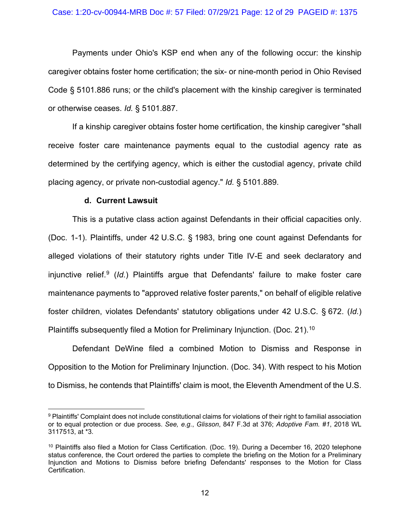Payments under Ohio's KSP end when any of the following occur: the kinship caregiver obtains foster home certification; the six- or nine-month period in Ohio Revised Code § 5101.886 runs; or the child's placement with the kinship caregiver is terminated or otherwise ceases. *Id.* § 5101.887.

If a kinship caregiver obtains foster home certification, the kinship caregiver "shall receive foster care maintenance payments equal to the custodial agency rate as determined by the certifying agency, which is either the custodial agency, private child placing agency, or private non-custodial agency." *Id.* § 5101.889.

## **d. Current Lawsuit**

This is a putative class action against Defendants in their official capacities only. (Doc. 1-1). Plaintiffs, under 42 U.S.C. § 1983, bring one count against Defendants for alleged violations of their statutory rights under Title IV-E and seek declaratory and injunctive relief. <sup>9</sup> (*Id.*) Plaintiffs argue that Defendants' failure to make foster care maintenance payments to "approved relative foster parents," on behalf of eligible relative foster children, violates Defendants' statutory obligations under 42 U.S.C. § 672. (*Id.*) Plaintiffs subsequently filed a Motion for Preliminary Injunction. (Doc. 21).10

Defendant DeWine filed a combined Motion to Dismiss and Response in Opposition to the Motion for Preliminary Injunction. (Doc. 34). With respect to his Motion to Dismiss, he contends that Plaintiffs' claim is moot, the Eleventh Amendment of the U.S.

<sup>9</sup> Plaintiffs' Complaint does not include constitutional claims for violations of their right to familial association or to equal protection or due process. *See, e.g.*, *Glisson*, 847 F.3d at 376; *Adoptive Fam. #1*, 2018 WL 3117513, at \*3.

<sup>&</sup>lt;sup>10</sup> Plaintiffs also filed a Motion for Class Certification. (Doc. 19). During a December 16, 2020 telephone status conference, the Court ordered the parties to complete the briefing on the Motion for a Preliminary Injunction and Motions to Dismiss before briefing Defendants' responses to the Motion for Class Certification.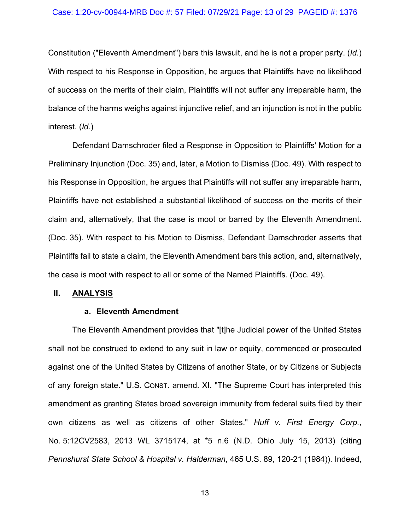## Case: 1:20-cv-00944-MRB Doc #: 57 Filed: 07/29/21 Page: 13 of 29 PAGEID #: 1376

Constitution ("Eleventh Amendment") bars this lawsuit, and he is not a proper party. (*Id.*) With respect to his Response in Opposition, he argues that Plaintiffs have no likelihood of success on the merits of their claim, Plaintiffs will not suffer any irreparable harm, the balance of the harms weighs against injunctive relief, and an injunction is not in the public interest. (*Id.*)

Defendant Damschroder filed a Response in Opposition to Plaintiffs' Motion for a Preliminary Injunction (Doc. 35) and, later, a Motion to Dismiss (Doc. 49). With respect to his Response in Opposition, he argues that Plaintiffs will not suffer any irreparable harm, Plaintiffs have not established a substantial likelihood of success on the merits of their claim and, alternatively, that the case is moot or barred by the Eleventh Amendment. (Doc. 35). With respect to his Motion to Dismiss, Defendant Damschroder asserts that Plaintiffs fail to state a claim, the Eleventh Amendment bars this action, and, alternatively, the case is moot with respect to all or some of the Named Plaintiffs. (Doc. 49).

### **II. ANALYSIS**

#### **a. Eleventh Amendment**

The Eleventh Amendment provides that "[t]he Judicial power of the United States shall not be construed to extend to any suit in law or equity, commenced or prosecuted against one of the United States by Citizens of another State, or by Citizens or Subjects of any foreign state." U.S. CONST. amend. XI. "The Supreme Court has interpreted this amendment as granting States broad sovereign immunity from federal suits filed by their own citizens as well as citizens of other States." *Huff v. First Energy Corp.*, No. 5:12CV2583, 2013 WL 3715174, at \*5 n.6 (N.D. Ohio July 15, 2013) (citing *Pennshurst State School & Hospital v. Halderman*, 465 U.S. 89, 120-21 (1984)). Indeed,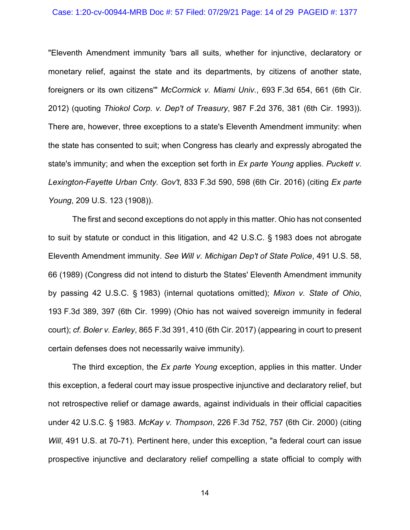#### Case: 1:20-cv-00944-MRB Doc #: 57 Filed: 07/29/21 Page: 14 of 29 PAGEID #: 1377

"Eleventh Amendment immunity 'bars all suits, whether for injunctive, declaratory or monetary relief, against the state and its departments, by citizens of another state, foreigners or its own citizens'" *McCormick v. Miami Univ.*, 693 F.3d 654, 661 (6th Cir. 2012) (quoting *Thiokol Corp. v. Dep't of Treasury*, 987 F.2d 376, 381 (6th Cir. 1993)). There are, however, three exceptions to a state's Eleventh Amendment immunity: when the state has consented to suit; when Congress has clearly and expressly abrogated the state's immunity; and when the exception set forth in *Ex parte Young* applies. *Puckett v. Lexington-Fayette Urban Cnty. Gov't*, 833 F.3d 590, 598 (6th Cir. 2016) (citing *Ex parte Young*, 209 U.S. 123 (1908)).

The first and second exceptions do not apply in this matter. Ohio has not consented to suit by statute or conduct in this litigation, and 42 U.S.C. § 1983 does not abrogate Eleventh Amendment immunity. *See Will v. Michigan Dep't of State Police*, 491 U.S. 58, 66 (1989) (Congress did not intend to disturb the States' Eleventh Amendment immunity by passing 42 U.S.C. § 1983) (internal quotations omitted); *Mixon v. State of Ohio*, 193 F.3d 389, 397 (6th Cir. 1999) (Ohio has not waived sovereign immunity in federal court); *cf. Boler v. Earley*, 865 F.3d 391, 410 (6th Cir. 2017) (appearing in court to present certain defenses does not necessarily waive immunity).

The third exception, the *Ex parte Young* exception, applies in this matter. Under this exception, a federal court may issue prospective injunctive and declaratory relief, but not retrospective relief or damage awards, against individuals in their official capacities under 42 U.S.C. § 1983. *McKay v. Thompson*, 226 F.3d 752, 757 (6th Cir. 2000) (citing *Will*, 491 U.S. at 70-71). Pertinent here, under this exception, "a federal court can issue prospective injunctive and declaratory relief compelling a state official to comply with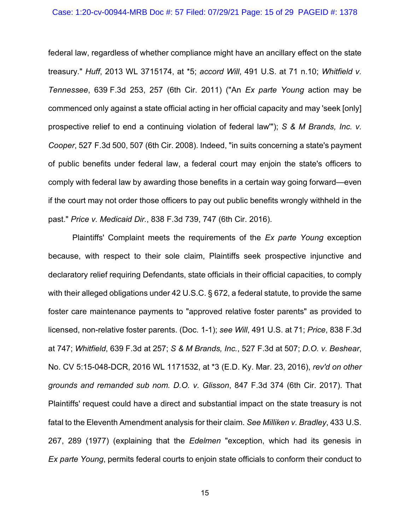#### Case: 1:20-cv-00944-MRB Doc #: 57 Filed: 07/29/21 Page: 15 of 29 PAGEID #: 1378

federal law, regardless of whether compliance might have an ancillary effect on the state treasury." *Huff*, 2013 WL 3715174, at \*5; *accord Will*, 491 U.S. at 71 n.10; *Whitfield v. Tennessee*, 639 F.3d 253, 257 (6th Cir. 2011) ("An *Ex parte Young* action may be commenced only against a state official acting in her official capacity and may 'seek [only] prospective relief to end a continuing violation of federal law'"); *S & M Brands, Inc. v. Cooper*, 527 F.3d 500, 507 (6th Cir. 2008). Indeed, "in suits concerning a state's payment of public benefits under federal law, a federal court may enjoin the state's officers to comply with federal law by awarding those benefits in a certain way going forward—even if the court may not order those officers to pay out public benefits wrongly withheld in the past." *Price v. Medicaid Dir.*, 838 F.3d 739, 747 (6th Cir. 2016).

Plaintiffs' Complaint meets the requirements of the *Ex parte Young* exception because, with respect to their sole claim, Plaintiffs seek prospective injunctive and declaratory relief requiring Defendants, state officials in their official capacities, to comply with their alleged obligations under 42 U.S.C. § 672, a federal statute, to provide the same foster care maintenance payments to "approved relative foster parents" as provided to licensed, non-relative foster parents. (Doc. 1-1); *see Will*, 491 U.S. at 71; *Price*, 838 F.3d at 747; *Whitfield*, 639 F.3d at 257; *S & M Brands, Inc.*, 527 F.3d at 507; *D.O. v. Beshear*, No. CV 5:15-048-DCR, 2016 WL 1171532, at \*3 (E.D. Ky. Mar. 23, 2016), *rev'd on other grounds and remanded sub nom. D.O. v. Glisson*, 847 F.3d 374 (6th Cir. 2017). That Plaintiffs' request could have a direct and substantial impact on the state treasury is not fatal to the Eleventh Amendment analysis for their claim. *See Milliken v. Bradley*, 433 U.S. 267, 289 (1977) (explaining that the *Edelmen* "exception, which had its genesis in *Ex parte Young*, permits federal courts to enjoin state officials to conform their conduct to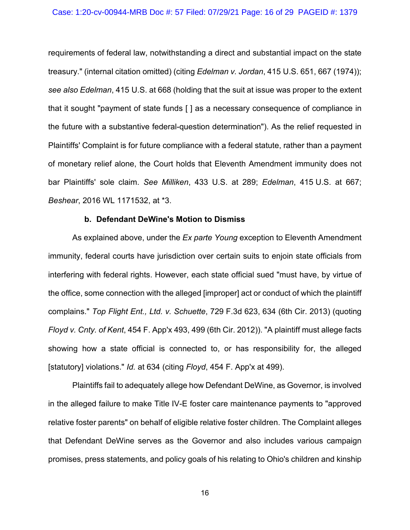#### Case: 1:20-cv-00944-MRB Doc #: 57 Filed: 07/29/21 Page: 16 of 29 PAGEID #: 1379

requirements of federal law, notwithstanding a direct and substantial impact on the state treasury." (internal citation omitted) (citing *Edelman v. Jordan*, 415 U.S. 651, 667 (1974)); *see also Edelman*, 415 U.S. at 668 (holding that the suit at issue was proper to the extent that it sought "payment of state funds [ ] as a necessary consequence of compliance in the future with a substantive federal-question determination"). As the relief requested in Plaintiffs' Complaint is for future compliance with a federal statute, rather than a payment of monetary relief alone, the Court holds that Eleventh Amendment immunity does not bar Plaintiffs' sole claim. *See Milliken*, 433 U.S. at 289; *Edelman*, 415 U.S. at 667; *Beshear*, 2016 WL 1171532, at \*3.

#### **b. Defendant DeWine's Motion to Dismiss**

As explained above, under the *Ex parte Young* exception to Eleventh Amendment immunity, federal courts have jurisdiction over certain suits to enjoin state officials from interfering with federal rights. However, each state official sued "must have, by virtue of the office, some connection with the alleged [improper] act or conduct of which the plaintiff complains." *Top Flight Ent., Ltd. v. Schuette*, 729 F.3d 623, 634 (6th Cir. 2013) (quoting *Floyd v. Cnty. of Kent*, 454 F. App'x 493, 499 (6th Cir. 2012)). "A plaintiff must allege facts showing how a state official is connected to, or has responsibility for, the alleged [statutory] violations." *Id.* at 634 (citing *Floyd*, 454 F. App'x at 499).

Plaintiffs fail to adequately allege how Defendant DeWine, as Governor, is involved in the alleged failure to make Title IV-E foster care maintenance payments to "approved relative foster parents" on behalf of eligible relative foster children. The Complaint alleges that Defendant DeWine serves as the Governor and also includes various campaign promises, press statements, and policy goals of his relating to Ohio's children and kinship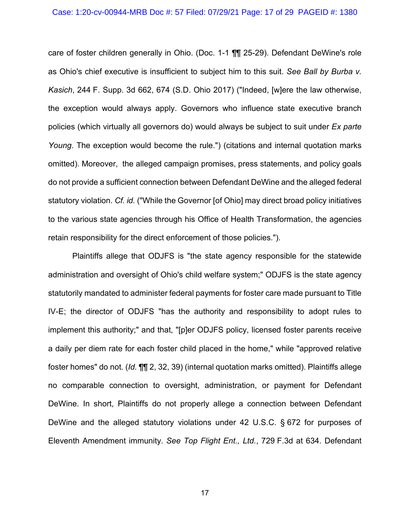#### Case: 1:20-cv-00944-MRB Doc #: 57 Filed: 07/29/21 Page: 17 of 29 PAGEID #: 1380

care of foster children generally in Ohio. (Doc. 1-1 ¶¶ 25-29). Defendant DeWine's role as Ohio's chief executive is insufficient to subject him to this suit. *See Ball by Burba v. Kasich*, 244 F. Supp. 3d 662, 674 (S.D. Ohio 2017) ("Indeed, [w]ere the law otherwise, the exception would always apply. Governors who influence state executive branch policies (which virtually all governors do) would always be subject to suit under *Ex parte Young*. The exception would become the rule.") (citations and internal quotation marks omitted). Moreover, the alleged campaign promises, press statements, and policy goals do not provide a sufficient connection between Defendant DeWine and the alleged federal statutory violation. *Cf. id.* ("While the Governor [of Ohio] may direct broad policy initiatives to the various state agencies through his Office of Health Transformation, the agencies retain responsibility for the direct enforcement of those policies.").

Plaintiffs allege that ODJFS is "the state agency responsible for the statewide administration and oversight of Ohio's child welfare system;" ODJFS is the state agency statutorily mandated to administer federal payments for foster care made pursuant to Title IV-E; the director of ODJFS "has the authority and responsibility to adopt rules to implement this authority;" and that, "[p]er ODJFS policy, licensed foster parents receive a daily per diem rate for each foster child placed in the home," while "approved relative foster homes" do not. (*Id.* ¶¶ 2, 32, 39) (internal quotation marks omitted). Plaintiffs allege no comparable connection to oversight, administration, or payment for Defendant DeWine. In short, Plaintiffs do not properly allege a connection between Defendant DeWine and the alleged statutory violations under 42 U.S.C. § 672 for purposes of Eleventh Amendment immunity. *See Top Flight Ent., Ltd.*, 729 F.3d at 634. Defendant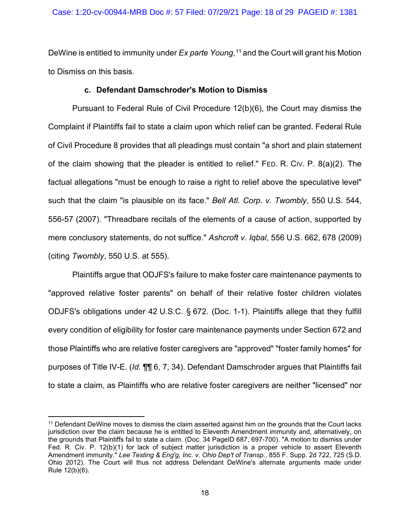DeWine is entitled to immunity under *Ex parte Young*, <sup>11</sup> and the Court will grant his Motion to Dismiss on this basis.

## **c. Defendant Damschroder's Motion to Dismiss**

Pursuant to Federal Rule of Civil Procedure 12(b)(6), the Court may dismiss the Complaint if Plaintiffs fail to state a claim upon which relief can be granted. Federal Rule of Civil Procedure 8 provides that all pleadings must contain "a short and plain statement of the claim showing that the pleader is entitled to relief." FED. R. CIV. P. 8(a)(2). The factual allegations "must be enough to raise a right to relief above the speculative level" such that the claim "is plausible on its face." *Bell Atl. Corp. v. Twombly*, 550 U.S. 544, 556-57 (2007). "Threadbare recitals of the elements of a cause of action, supported by mere conclusory statements, do not suffice." *Ashcroft v. Iqbal*, 556 U.S. 662, 678 (2009) (citing *Twombly*, 550 U.S. at 555).

Plaintiffs argue that ODJFS's failure to make foster care maintenance payments to "approved relative foster parents" on behalf of their relative foster children violates ODJFS's obligations under 42 U.S.C. § 672. (Doc. 1-1). Plaintiffs allege that they fulfill every condition of eligibility for foster care maintenance payments under Section 672 and those Plaintiffs who are relative foster caregivers are "approved" "foster family homes" for purposes of Title IV-E. (*Id.* ¶¶ 6, 7, 34). Defendant Damschroder argues that Plaintiffs fail to state a claim, as Plaintiffs who are relative foster caregivers are neither "licensed" nor

<sup>11</sup> Defendant DeWine moves to dismiss the claim asserted against him on the grounds that the Court lacks jurisdiction over the claim because he is entitled to Eleventh Amendment immunity and, alternatively, on the grounds that Plaintiffs fail to state a claim. (Doc. 34 PageID 687, 697-700). "A motion to dismiss under Fed. R. Civ. P. 12(b)(1) for lack of subject matter jurisdiction is a proper vehicle to assert Eleventh Amendment immunity." *Lee Testing & Eng'g, Inc. v. Ohio Dep't of Transp.*, 855 F. Supp. 2d 722, 725 (S.D. Ohio 2012). The Court will thus not address Defendant DeWine's alternate arguments made under Rule 12(b)(6).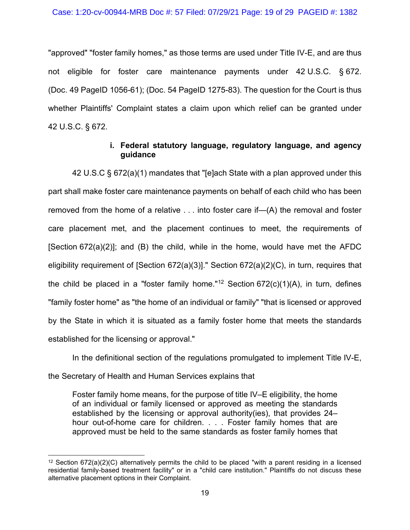"approved" "foster family homes," as those terms are used under Title IV-E, and are thus not eligible for foster care maintenance payments under 42 U.S.C. § 672. (Doc. 49 PageID 1056-61); (Doc. 54 PageID 1275-83). The question for the Court is thus whether Plaintiffs' Complaint states a claim upon which relief can be granted under 42 U.S.C. § 672.

# **i. Federal statutory language, regulatory language, and agency guidance**

42 U.S.C § 672(a)(1) mandates that "[e]ach State with a plan approved under this part shall make foster care maintenance payments on behalf of each child who has been removed from the home of a relative . . . into foster care if—(A) the removal and foster care placement met, and the placement continues to meet, the requirements of [Section 672(a)(2)]; and (B) the child, while in the home, would have met the AFDC eligibility requirement of [Section 672(a)(3)]." Section 672(a)(2)(C), in turn, requires that the child be placed in a "foster family home."<sup>12</sup> Section  $672(c)(1)(A)$ , in turn, defines "family foster home" as "the home of an individual or family" "that is licensed or approved by the State in which it is situated as a family foster home that meets the standards established for the licensing or approval."

In the definitional section of the regulations promulgated to implement Title IV-E, the Secretary of Health and Human Services explains that

Foster family home means, for the purpose of title IV–E eligibility, the home of an individual or family licensed or approved as meeting the standards established by the licensing or approval authority(ies), that provides 24– hour out-of-home care for children. . . . Foster family homes that are approved must be held to the same standards as foster family homes that

 $12$  Section 672(a)(2)(C) alternatively permits the child to be placed "with a parent residing in a licensed residential family-based treatment facility" or in a "child care institution." Plaintiffs do not discuss these alternative placement options in their Complaint.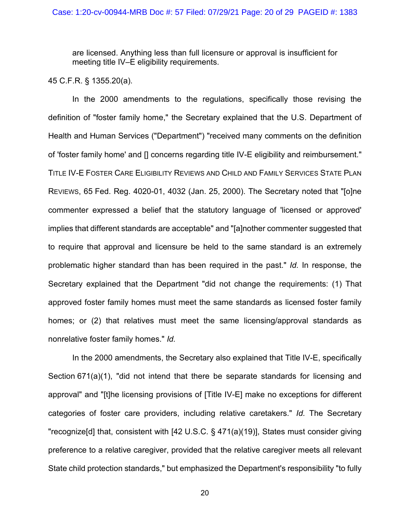are licensed. Anything less than full licensure or approval is insufficient for meeting title IV–E eligibility requirements.

## 45 C.F.R. § 1355.20(a).

In the 2000 amendments to the regulations, specifically those revising the definition of "foster family home," the Secretary explained that the U.S. Department of Health and Human Services ("Department") "received many comments on the definition of 'foster family home' and [] concerns regarding title IV-E eligibility and reimbursement." TITLE IV-E FOSTER CARE ELIGIBILITY REVIEWS AND CHILD AND FAMILY SERVICES STATE PLAN REVIEWS, 65 Fed. Reg. 4020-01, 4032 (Jan. 25, 2000). The Secretary noted that "[o]ne commenter expressed a belief that the statutory language of 'licensed or approved' implies that different standards are acceptable" and "[a]nother commenter suggested that to require that approval and licensure be held to the same standard is an extremely problematic higher standard than has been required in the past." *Id.* In response, the Secretary explained that the Department "did not change the requirements: (1) That approved foster family homes must meet the same standards as licensed foster family homes; or (2) that relatives must meet the same licensing/approval standards as nonrelative foster family homes." *Id.*

In the 2000 amendments, the Secretary also explained that Title IV-E, specifically Section 671(a)(1), "did not intend that there be separate standards for licensing and approval" and "[t]he licensing provisions of [Title IV-E] make no exceptions for different categories of foster care providers, including relative caretakers." *Id.* The Secretary "recognize[d] that, consistent with [42 U.S.C. § 471(a)(19)], States must consider giving preference to a relative caregiver, provided that the relative caregiver meets all relevant State child protection standards," but emphasized the Department's responsibility "to fully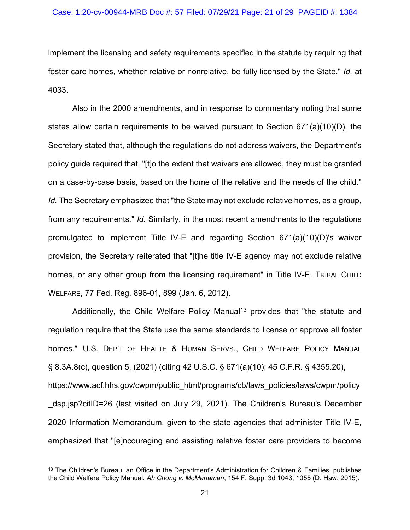implement the licensing and safety requirements specified in the statute by requiring that foster care homes, whether relative or nonrelative, be fully licensed by the State." *Id.* at 4033.

Also in the 2000 amendments, and in response to commentary noting that some states allow certain requirements to be waived pursuant to Section 671(a)(10)(D), the Secretary stated that, although the regulations do not address waivers, the Department's policy guide required that, "[t]o the extent that waivers are allowed, they must be granted on a case-by-case basis, based on the home of the relative and the needs of the child." *Id.* The Secretary emphasized that "the State may not exclude relative homes, as a group, from any requirements." *Id.* Similarly, in the most recent amendments to the regulations promulgated to implement Title IV-E and regarding Section 671(a)(10)(D)'s waiver provision, the Secretary reiterated that "[t]he title IV-E agency may not exclude relative homes, or any other group from the licensing requirement" in Title IV-E. TRIBAL CHILD WELFARE, 77 Fed. Reg. 896-01, 899 (Jan. 6, 2012).

Additionally, the Child Welfare Policy Manual<sup>13</sup> provides that "the statute and regulation require that the State use the same standards to license or approve all foster homes." U.S. DEP'T OF HEALTH & HUMAN SERVS., CHILD WELFARE POLICY MANUAL § 8.3A.8(c), question 5, (2021) (citing 42 U.S.C. § 671(a)(10); 45 C.F.R. § 4355.20), https://www.acf.hhs.gov/cwpm/public\_html/programs/cb/laws\_policies/laws/cwpm/policy dsp.jsp?citID=26 (last visited on July 29, 2021). The Children's Bureau's December 2020 Information Memorandum, given to the state agencies that administer Title IV-E, emphasized that "[e]ncouraging and assisting relative foster care providers to become

<sup>&</sup>lt;sup>13</sup> The Children's Bureau, an Office in the Department's Administration for Children & Families, publishes the Child Welfare Policy Manual. *Ah Chong v. McManaman*, 154 F. Supp. 3d 1043, 1055 (D. Haw. 2015).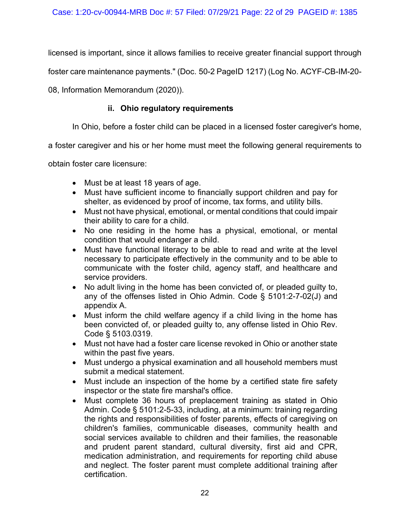licensed is important, since it allows families to receive greater financial support through

foster care maintenance payments." (Doc. 50-2 PageID 1217) (Log No. ACYF-CB-IM-20-

08, Information Memorandum (2020)).

# **ii. Ohio regulatory requirements**

In Ohio, before a foster child can be placed in a licensed foster caregiver's home,

a foster caregiver and his or her home must meet the following general requirements to

obtain foster care licensure:

- Must be at least 18 years of age.
- Must have sufficient income to financially support children and pay for shelter, as evidenced by proof of income, tax forms, and utility bills.
- Must not have physical, emotional, or mental conditions that could impair their ability to care for a child.
- No one residing in the home has a physical, emotional, or mental condition that would endanger a child.
- Must have functional literacy to be able to read and write at the level necessary to participate effectively in the community and to be able to communicate with the foster child, agency staff, and healthcare and service providers.
- No adult living in the home has been convicted of, or pleaded guilty to, any of the offenses listed in Ohio Admin. Code § 5101:2-7-02(J) and appendix A.
- Must inform the child welfare agency if a child living in the home has been convicted of, or pleaded guilty to, any offense listed in Ohio Rev. Code § 5103.0319.
- Must not have had a foster care license revoked in Ohio or another state within the past five years.
- Must undergo a physical examination and all household members must submit a medical statement.
- Must include an inspection of the home by a certified state fire safety inspector or the state fire marshal's office.
- Must complete 36 hours of preplacement training as stated in Ohio Admin. Code § 5101:2-5-33, including, at a minimum: training regarding the rights and responsibilities of foster parents, effects of caregiving on children's families, communicable diseases, community health and social services available to children and their families, the reasonable and prudent parent standard, cultural diversity, first aid and CPR, medication administration, and requirements for reporting child abuse and neglect. The foster parent must complete additional training after certification.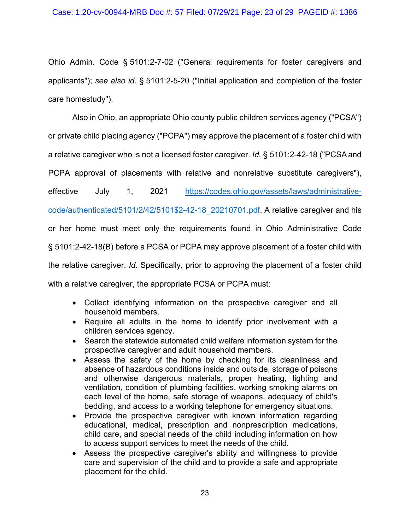Ohio Admin. Code § 5101:2-7-02 ("General requirements for foster caregivers and applicants"); *see also id.* § 5101:2-5-20 ("Initial application and completion of the foster care homestudy").

Also in Ohio, an appropriate Ohio county public children services agency ("PCSA") or private child placing agency ("PCPA") may approve the placement of a foster child with a relative caregiver who is not a licensed foster caregiver. *Id.* § 5101:2-42-18 ("PCSAand PCPA approval of placements with relative and nonrelative substitute caregivers"), effective July 1, 2021 https://codes.ohio.gov/assets/laws/administrativecode/authenticated/5101/2/42/5101\$2-42-18\_20210701.pdf. A relative caregiver and his or her home must meet only the requirements found in Ohio Administrative Code § 5101:2-42-18(B) before a PCSA or PCPA may approve placement of a foster child with the relative caregiver. *Id.* Specifically, prior to approving the placement of a foster child with a relative caregiver, the appropriate PCSA or PCPA must:

- Collect identifying information on the prospective caregiver and all household members.
- Require all adults in the home to identify prior involvement with a children services agency.
- Search the statewide automated child welfare information system for the prospective caregiver and adult household members.
- Assess the safety of the home by checking for its cleanliness and absence of hazardous conditions inside and outside, storage of poisons and otherwise dangerous materials, proper heating, lighting and ventilation, condition of plumbing facilities, working smoking alarms on each level of the home, safe storage of weapons, adequacy of child's bedding, and access to a working telephone for emergency situations.
- Provide the prospective caregiver with known information regarding educational, medical, prescription and nonprescription medications, child care, and special needs of the child including information on how to access support services to meet the needs of the child.
- Assess the prospective caregiver's ability and willingness to provide care and supervision of the child and to provide a safe and appropriate placement for the child.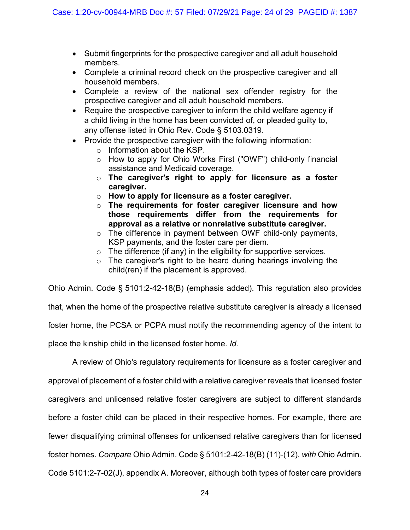- Submit fingerprints for the prospective caregiver and all adult household members.
- Complete a criminal record check on the prospective caregiver and all household members.
- Complete a review of the national sex offender registry for the prospective caregiver and all adult household members.
- Require the prospective caregiver to inform the child welfare agency if a child living in the home has been convicted of, or pleaded guilty to, any offense listed in Ohio Rev. Code § 5103.0319.
- Provide the prospective caregiver with the following information:
	- o Information about the KSP.
	- o How to apply for Ohio Works First ("OWF") child-only financial assistance and Medicaid coverage.
	- o **The caregiver's right to apply for licensure as a foster caregiver.**
	- o **How to apply for licensure as a foster caregiver.**
	- o **The requirements for foster caregiver licensure and how those requirements differ from the requirements for approval as a relative or nonrelative substitute caregiver.**
	- o The difference in payment between OWF child-only payments, KSP payments, and the foster care per diem.
	- $\circ$  The difference (if any) in the eligibility for supportive services.
	- $\circ$  The caregiver's right to be heard during hearings involving the child(ren) if the placement is approved.

Ohio Admin. Code § 5101:2-42-18(B) (emphasis added). This regulation also provides

that, when the home of the prospective relative substitute caregiver is already a licensed

foster home, the PCSA or PCPA must notify the recommending agency of the intent to

place the kinship child in the licensed foster home. *Id.*

A review of Ohio's regulatory requirements for licensure as a foster caregiver and

approval of placement of a foster child with a relative caregiver reveals that licensed foster

caregivers and unlicensed relative foster caregivers are subject to different standards

before a foster child can be placed in their respective homes. For example, there are

fewer disqualifying criminal offenses for unlicensed relative caregivers than for licensed

foster homes. *Compare* Ohio Admin. Code § 5101:2-42-18(B) (11)-(12), *with* Ohio Admin.

Code 5101:2-7-02(J), appendix A. Moreover, although both types of foster care providers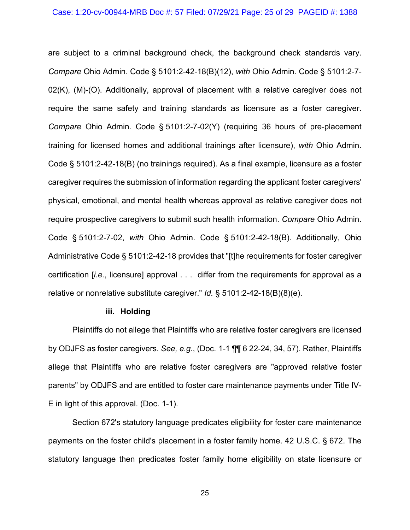#### Case: 1:20-cv-00944-MRB Doc #: 57 Filed: 07/29/21 Page: 25 of 29 PAGEID #: 1388

are subject to a criminal background check, the background check standards vary. *Compare* Ohio Admin. Code § 5101:2-42-18(B)(12), *with* Ohio Admin. Code § 5101:2-7- 02(K), (M)-(O). Additionally, approval of placement with a relative caregiver does not require the same safety and training standards as licensure as a foster caregiver. *Compare* Ohio Admin. Code § 5101:2-7-02(Y) (requiring 36 hours of pre-placement training for licensed homes and additional trainings after licensure), *with* Ohio Admin. Code § 5101:2-42-18(B) (no trainings required). As a final example, licensure as a foster caregiver requires the submission of information regarding the applicant foster caregivers' physical, emotional, and mental health whereas approval as relative caregiver does not require prospective caregivers to submit such health information. *Compare* Ohio Admin. Code § 5101:2-7-02, *with* Ohio Admin. Code § 5101:2-42-18(B). Additionally, Ohio Administrative Code § 5101:2-42-18 provides that "[t]he requirements for foster caregiver certification [*i.e.*, licensure] approval . . . differ from the requirements for approval as a relative or nonrelative substitute caregiver." *Id.* § 5101:2-42-18(B)(8)(e).

#### **iii. Holding**

Plaintiffs do not allege that Plaintiffs who are relative foster caregivers are licensed by ODJFS as foster caregivers. *See, e.g.*, (Doc. 1-1 ¶¶ 6 22-24, 34, 57). Rather, Plaintiffs allege that Plaintiffs who are relative foster caregivers are "approved relative foster parents" by ODJFS and are entitled to foster care maintenance payments under Title IV-E in light of this approval. (Doc. 1-1).

Section 672's statutory language predicates eligibility for foster care maintenance payments on the foster child's placement in a foster family home. 42 U.S.C. § 672. The statutory language then predicates foster family home eligibility on state licensure or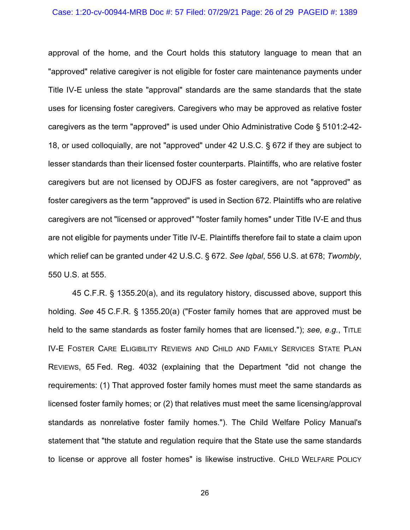#### Case: 1:20-cv-00944-MRB Doc #: 57 Filed: 07/29/21 Page: 26 of 29 PAGEID #: 1389

approval of the home, and the Court holds this statutory language to mean that an "approved" relative caregiver is not eligible for foster care maintenance payments under Title IV-E unless the state "approval" standards are the same standards that the state uses for licensing foster caregivers. Caregivers who may be approved as relative foster caregivers as the term "approved" is used under Ohio Administrative Code § 5101:2-42- 18, or used colloquially, are not "approved" under 42 U.S.C. § 672 if they are subject to lesser standards than their licensed foster counterparts. Plaintiffs, who are relative foster caregivers but are not licensed by ODJFS as foster caregivers, are not "approved" as foster caregivers as the term "approved" is used in Section 672. Plaintiffs who are relative caregivers are not "licensed or approved" "foster family homes" under Title IV-E and thus are not eligible for payments under Title IV-E. Plaintiffs therefore fail to state a claim upon which relief can be granted under 42 U.S.C. § 672. *See Iqbal*, 556 U.S. at 678; *Twombly*, 550 U.S. at 555.

45 C.F.R. § 1355.20(a), and its regulatory history, discussed above, support this holding. *See* 45 C.F.R. § 1355.20(a) ("Foster family homes that are approved must be held to the same standards as foster family homes that are licensed."); *see, e.g.*, TITLE IV-E FOSTER CARE ELIGIBILITY REVIEWS AND CHILD AND FAMILY SERVICES STATE PLAN REVIEWS, 65 Fed. Reg. 4032 (explaining that the Department "did not change the requirements: (1) That approved foster family homes must meet the same standards as licensed foster family homes; or (2) that relatives must meet the same licensing/approval standards as nonrelative foster family homes."). The Child Welfare Policy Manual's statement that "the statute and regulation require that the State use the same standards to license or approve all foster homes" is likewise instructive. CHILD WELFARE POLICY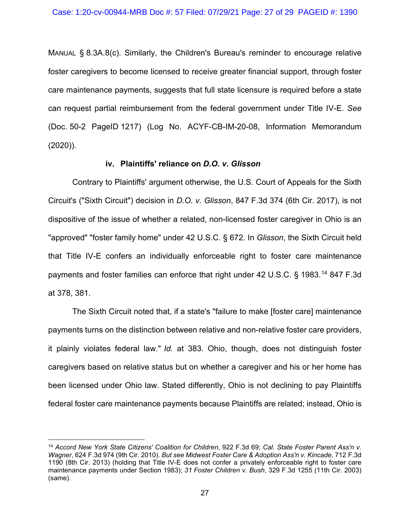MANUAL § 8.3A.8(c). Similarly, the Children's Bureau's reminder to encourage relative foster caregivers to become licensed to receive greater financial support, through foster care maintenance payments, suggests that full state licensure is required before a state can request partial reimbursement from the federal government under Title IV-E. *See*  (Doc. 50-2 PageID 1217) (Log No. ACYF-CB-IM-20-08, Information Memorandum (2020)).

## **iv. Plaintiffs' reliance on** *D.O. v. Glisson*

Contrary to Plaintiffs' argument otherwise, the U.S. Court of Appeals for the Sixth Circuit's ("Sixth Circuit") decision in *D.O. v. Glisson*, 847 F.3d 374 (6th Cir. 2017), is not dispositive of the issue of whether a related, non-licensed foster caregiver in Ohio is an "approved" "foster family home" under 42 U.S.C. § 672. In *Glisson*, the Sixth Circuit held that Title IV-E confers an individually enforceable right to foster care maintenance payments and foster families can enforce that right under 42 U.S.C. § 1983. <sup>14</sup> 847 F.3d at 378, 381.

The Sixth Circuit noted that, if a state's "failure to make [foster care] maintenance payments turns on the distinction between relative and non-relative foster care providers, it plainly violates federal law." *Id.* at 383. Ohio, though, does not distinguish foster caregivers based on relative status but on whether a caregiver and his or her home has been licensed under Ohio law. Stated differently, Ohio is not declining to pay Plaintiffs federal foster care maintenance payments because Plaintiffs are related; instead, Ohio is

<sup>14</sup> *Accord New York State Citizens' Coalition for Children*, 922 F.3d 69; *Cal. State Foster Parent Ass'n v. Wagner*, 624 F.3d 974 (9th Cir. 2010). *But see Midwest Foster Care & Adoption Ass'n v. Kincade*, 712 F.3d 1190 (8th Cir. 2013) (holding that Title IV-E does not confer a privately enforceable right to foster care maintenance payments under Section 1983); *31 Foster Children v. Bush*, 329 F.3d 1255 (11th Cir. 2003) (same).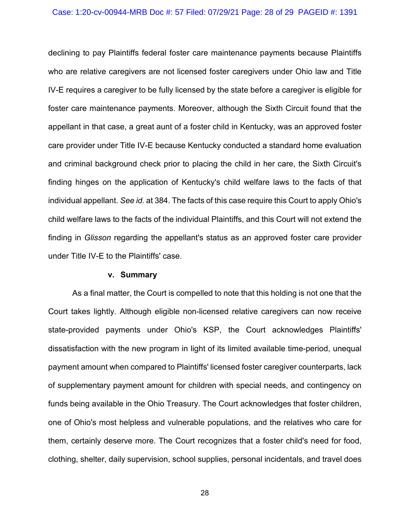#### Case: 1:20-cv-00944-MRB Doc #: 57 Filed: 07/29/21 Page: 28 of 29 PAGEID #: 1391

declining to pay Plaintiffs federal foster care maintenance payments because Plaintiffs who are relative caregivers are not licensed foster caregivers under Ohio law and Title IV-E requires a caregiver to be fully licensed by the state before a caregiver is eligible for foster care maintenance payments. Moreover, although the Sixth Circuit found that the appellant in that case, a great aunt of a foster child in Kentucky, was an approved foster care provider under Title IV-E because Kentucky conducted a standard home evaluation and criminal background check prior to placing the child in her care, the Sixth Circuit's finding hinges on the application of Kentucky's child welfare laws to the facts of that individual appellant. *See id.* at 384. The facts of this case require this Court to apply Ohio's child welfare laws to the facts of the individual Plaintiffs, and this Court will not extend the finding in *Glisson* regarding the appellant's status as an approved foster care provider under Title IV-E to the Plaintiffs' case.

#### **v. Summary**

As a final matter, the Court is compelled to note that this holding is not one that the Court takes lightly. Although eligible non-licensed relative caregivers can now receive state-provided payments under Ohio's KSP, the Court acknowledges Plaintiffs' dissatisfaction with the new program in light of its limited available time-period, unequal payment amount when compared to Plaintiffs' licensed foster caregiver counterparts, lack of supplementary payment amount for children with special needs, and contingency on funds being available in the Ohio Treasury. The Court acknowledges that foster children, one of Ohio's most helpless and vulnerable populations, and the relatives who care for them, certainly deserve more. The Court recognizes that a foster child's need for food, clothing, shelter, daily supervision, school supplies, personal incidentals, and travel does